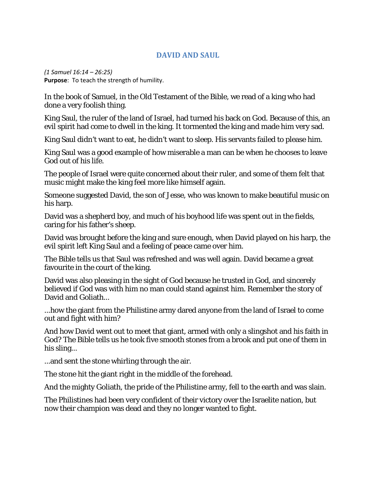## **DAVID AND SAUL**

*(1 Samuel 16:14 – 26:25)* **Purpose**: To teach the strength of humility.

In the book of Samuel, in the Old Testament of the Bible, we read of a king who had done a very foolish thing.

King Saul, the ruler of the land of Israel, had turned his back on God. Because of this, an evil spirit had come to dwell in the king. It tormented the king and made him very sad.

King Saul didn't want to eat, he didn't want to sleep. His servants failed to please him.

King Saul was a good example of how miserable a man can be when he chooses to leave God out of his life.

The people of Israel were quite concerned about their ruler, and some of them felt that music might make the king feel more like himself again.

Someone suggested David, the son of Jesse, who was known to make beautiful music on his harp.

David was a shepherd boy, and much of his boyhood life was spent out in the fields, caring for his father's sheep.

David was brought before the king and sure enough, when David played on his harp, the evil spirit left King Saul and a feeling of peace came over him.

The Bible tells us that Saul was refreshed and was well again. David became a great favourite in the court of the king.

David was also pleasing in the sight of God because he trusted in God, and sincerely believed if God was with him no man could stand against him. Remember the story of David and Goliath...

...how the giant from the Philistine army dared anyone from the land of Israel to come out and fight with him?

And how David went out to meet that giant, armed with only a slingshot and his faith in God? The Bible tells us he took five smooth stones from a brook and put one of them in his sling...

...and sent the stone whirling through the air.

The stone hit the giant right in the middle of the forehead.

And the mighty Goliath, the pride of the Philistine army, fell to the earth and was slain.

The Philistines had been very confident of their victory over the Israelite nation, but now their champion was dead and they no longer wanted to fight.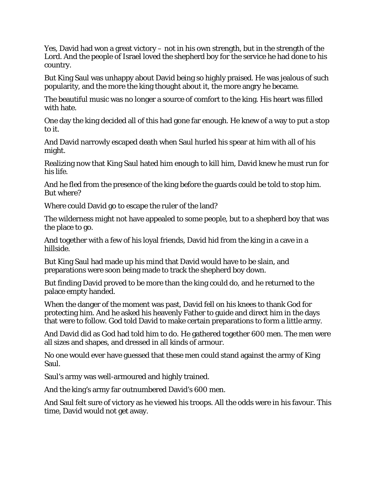Yes, David had won a great victory – not in his own strength, but in the strength of the Lord. And the people of Israel loved the shepherd boy for the service he had done to his country.

But King Saul was unhappy about David being so highly praised. He was jealous of such popularity, and the more the king thought about it, the more angry he became.

The beautiful music was no longer a source of comfort to the king. His heart was filled with hate.

One day the king decided all of this had gone far enough. He knew of a way to put a stop to it.

And David narrowly escaped death when Saul hurled his spear at him with all of his might.

Realizing now that King Saul hated him enough to kill him, David knew he must run for his life.

And he fled from the presence of the king before the guards could be told to stop him. But where?

Where could David go to escape the ruler of the land?

The wilderness might not have appealed to some people, but to a shepherd boy that was the place to go.

And together with a few of his loyal friends, David hid from the king in a cave in a hillside.

But King Saul had made up his mind that David would have to be slain, and preparations were soon being made to track the shepherd boy down.

But finding David proved to be more than the king could do, and he returned to the palace empty handed.

When the danger of the moment was past, David fell on his knees to thank God for protecting him. And he asked his heavenly Father to guide and direct him in the days that were to follow. God told David to make certain preparations to form a little army.

And David did as God had told him to do. He gathered together 600 men. The men were all sizes and shapes, and dressed in all kinds of armour.

No one would ever have guessed that these men could stand against the army of King Saul.

Saul's army was well-armoured and highly trained.

And the king's army far outnumbered David's 600 men.

And Saul felt sure of victory as he viewed his troops. All the odds were in his favour. This time, David would not get away.